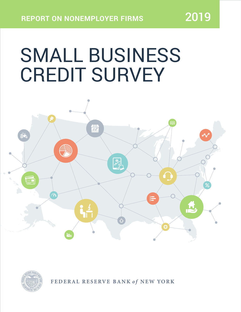# SMALL BUSINESS CREDIT SURVEY





FEDERAL RESERVE BANK of NEW YORK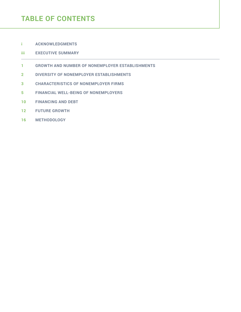# **TABLE OF CONTENTS**

**i [ACKNOWLEDGMENTS](#page-2-0)**

### **iii [EXECUTIVE SUMMARY](#page-4-0)**

- **[1 GROWTH AND NUMBER OF NONEMPLOYER ESTABLISHMENTS](#page-6-0)**
- **2 [DIVERSITY OF NONEMPLOYER ESTABLISHMENTS](#page-7-0)**
- **3 [CHARACTERISTICS OF NONEMPLOYER FIRMS](#page-8-0)**
- **5 [FINANCIAL WELL-BEING OF NONEMPLOYERS](#page-10-0)**
- **10 [FINANCING AND DEBT](#page-15-0)**
- **12 [FUTURE GROWTH](#page-17-0)**
- **16 [METHODOLOGY](#page-21-0)**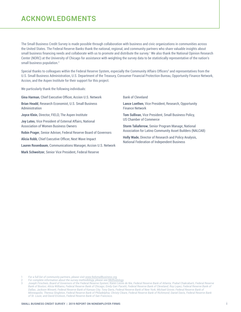# <span id="page-2-0"></span>**ACKNOWLEDGMENTS**

The Small Business Credit Survey is made possible through collaboration with business and civic organizations in communities across the United States. The Federal Reserve Banks thank the national, regional, and community partners who share valuable insights about small business financing needs and collaborate with us to promote and distribute the survey.' We also thank the National Opinion Research Center (NORC) at the University of Chicago for assistance with weighting the survey data to be statistically representative of the nation's small business population.<sup>2</sup>

Special thanks to colleagues within the Federal Reserve System, especially the Community Affairs Officers<sup>3</sup> and representatives from the U.S. Small Business Administration, U.S. Department of the Treasury, Consumer Financial Protection Bureau, Opportunity Finance Network, Accion, and the Aspen Institute for their support for this project.

We particularly thank the following individuals:

**Gina Harman**, Chief Executive Officer, Accion U.S. Network

**Brian Headd**, Research Economist, U.S. Small Business Administration

**Joyce Klein**, Director, FIELD, The Aspen Institute

**Joy Lutes**, Vice President of External Affairs, National Association of Women Business Owners

**Robin Prager**, Senior Adviser, Federal Reserve Board of Governors

**Alicia Robb**, Chief Executive Officer, Next Wave Impact

**Lauren Rosenbaum**, Communications Manager, Accion U.S. Network

**Mark Schweitzer**, Senior Vice President, Federal Reserve

Bank of Cleveland

**Lance Loethen**, Vice President, Research, Opportunity Finance Network

**Tom Sullivan**, Vice President, Small Business Policy, US Chamber of Commerce

**Storm Taliaferrow**, Senior Program Manage, National Association for Latino Community Asset Builders (NALCAB)

**Holly Wade**, Director of Research and Policy Analysis, National Federation of Independent Business

1 *For a full list of community partners, please visit [www.fedsmallbusiness.org.](www.fedsmallbusiness.org)*

2 *For complete information about the survey methodology, please see Methodology.*

3 *Joseph Firschein, Board of Governors of the Federal Reserve System; Karen Leone de Nie, Federal Reserve Bank of Atlanta; Prabal Chakrabarti, Federal Reserve*  Bank of Boston; Alicia Williams, Federal Reserve Bank of Chicago; Emily Garr Pacetti, Federal Reserve Bank of Cleveland; Roy Lopez, Federal Reserve Bank of *Dallas; Jackson Winsett, Federal Reserve Bank of Kansas City; Tony Davis, Federal Reserve Bank of New York; Michael Grover, Federal Reserve Bank of Minneapolis; Theresa Singleton, Federal Reserve Bank of Philadelphia; Christy Cleare, Federal Reserve Bank of Richmond; Daniel Davis, Federal Reserve Bank of St. Louis; and David Erickson, Federal Reserve Bank of San Francisco.*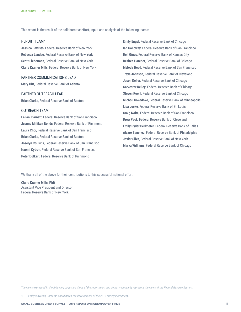This report is the result of the collaborative effort, input, and analysis of the following teams:

### REPORT TEAM4

J**essica Battisto**, Federal Reserve Bank of New York **Rebecca Landau**, Federal Reserve Bank of New York **Scott Lieberman**, Federal Reserve Bank of New York **Claire Kramer Mills**, Federal Reserve Bank of New York

#### PARTNER COMMUNICATIONS LEAD

**Mary Hirt**, Federal Reserve Bank of Atlanta

#### PARTNER OUTREACH LEAD

**Brian Clarke**, Federal Reserve Bank of Boston

### OUTREACH TEAM

**Leilani Barnett**, Federal Reserve Bank of San Francisco **Jeanne Milliken Bonds**, Federal Reserve Bank of Richmond **Laura Choi**, Federal Reserve Bank of San Francisco **Brian Clarke**, Federal Reserve Bank of Boston **Joselyn Cousins**, Federal Reserve Bank of San Francisco **Naomi Cytron**, Federal Reserve Bank of San Francisco **Peter Dolkart**, Federal Reserve Bank of Richmond

**Emily Engel**, Federal Reserve Bank of Chicago **Ian Galloway**, Federal Reserve Bank of San Francisco **Dell Gines**, Federal Reserve Bank of Kansas City **Desiree Hatcher**, Federal Reserve Bank of Chicago **Melody Head**, Federal Reserve Bank of San Francisco **Treye Johnson**, Federal Reserve Bank of Cleveland **Jason Keller**, Federal Reserve Bank of Chicago **Garvester Kelley**, Federal Reserve Bank of Chicago **Steven Kuehl**, Federal Reserve Bank of Chicago **Michou Kokodoko**, Federal Reserve Bank of Minneapolis **Lisa Locke**, Federal Reserve Bank of St. Louis **Craig Nolte**, Federal Reserve Bank of San Francisco **Drew Pack**, Federal Reserve Bank of Cleveland **Emily Ryder Perlmeter**, Federal Reserve Bank of Dallas **Alvaro Sanchez**, Federal Reserve Bank of Philadelphia **Javier Silva**, Federal Reserve Bank of New York **Marva Williams**, Federal Reserve Bank of Chicago

We thank all of the above for their contributions to this successful national effort.

**Claire Kramer Mills, PhD**  Assistant Vice President and Director Federal Reserve Bank of New York

*The views expressed in the following pages are those of the report team and do not necessarily represent the views of the Federal Reserve System.*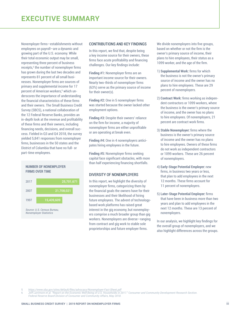<span id="page-4-0"></span>Nonemployer firms—establishments without employees on payroll—are a dynamic and growing part of the U.S. economy. While their total economic output may be small, representing three percent of business receipts,<sup>5</sup> the number of nonemployer firms has grown during the last two decades and represents 81 percent of all small businesses. Nonemployer firms are sources of primary and supplemental income for 17 percent of American workers,<sup>6</sup> which underscores the importance of understanding the financial characteristics of these firms and their owners. The Small Business Credit Survey (SBCS), a national collaboration of the 12 Federal Reserve Banks, provides an in-depth look at the revenue and profitability of these firms and their owners, including financing needs, decisions, and overall success. Fielded in Q3 and Q4 2018, the survey yielded 5,841 responses from nonemployer firms, businesses in the 50 states and the District of Columbia that have no full- or part-time employees.

#### **NUMBER OF NONEMPLOYER FIRMS OVER TIME**



#### CONTRIBUTIONS AND KEY FINDINGS

In this report, we find that, despite being a key income source for their owners, these firms face acute profitability and financing challenges. Our key findings include:

**Finding #1:** Nonemployer firms are an important income source for their owners. Nearly two-thirds of nonemployer firms (63%) serve as the primary source of income for their owner(s).

**Finding #2:** One in 5 nonemployer firms was started because the owner lacked other employment options.

**Finding #3:** Despite their owners' reliance on the firm for income, a majority of nonemployer firms are either unprofitable or are operating at break even.

**Finding #4:** One in 4 nonemployers anticipates hiring employees in the future.

**Finding #5:** Nonemployer firms seeking capital face significant obstacles, with more than half experiencing financing shortfalls.

### DIVERSITY OF NONEMPLOYERS

In this report, we highlight the diversity of nonemployer firms, categorizing them by the financial goals the owners have for their businesses and their likelihood of hiring future employees. The advent of technologybased work platforms has raised great interest in the gig economy, but nonemployers comprise a much broader group than gig workers. Nonemployers are diverse—ranging from contract and gig work to stable sole proprietorships and future employer firms.

We divide nonemployers into five groups, based on whether or not the firm is the owner's primary source of income, their plans to hire employees, their status as a 1099 worker, and the age of the firm.

- 1) **Supplemental Work:** firms for which the business is not the owner's primary source of income and the owner has no plans to hire employees. These are 29 percent of nonemployers.
- 2) **Contract Work:** firms working as independent contractors or 1099 workers, where the business is the owner's primary source of income, and the owner has no plans to hire employees. Of nonemployers, 21 percent are contract work firms.
- 3) **Stable Nonemployer:** firms where the business is the owner's primary source of income and the owner has no plans to hire employees. Owners of these firms do not work as independent contractors or 1099 workers. These are 26 percent of nonemployers.
- 4) **Early-Stage Potential Employer:** new firms, in business two years or less, that plan to add employees in the next 12 months. These firms account for 11 percent of nonemployers.
- 5) **Later-Stage Potential Employer:** firms that have been in business more than two years and plan to add employees in the next 12 months. These are 13 percent of nonemployers.

In our analysis, we highlight key findings for the overall group of nonemployers, and we also highlight differences across the groups.

<sup>5</sup> *<https://www.sba.gov/sites/default/files/advocacy/Nonemployer-Fact-Sheet.pdf>*

<sup>6</sup> Jeff Larrimore et al. "Report on the Economic Well-Being of U.S. Households in 2017." Consumer and Community Development Research Section. *Federal Reserve Board Division of Consumer and Community Affairs, May 2018.*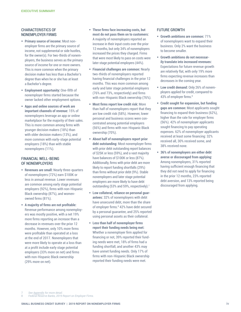### CHARACTERISTICS OF NONEMPLOYER FIRMS

- **Primary source of income:** Most nonemployer firms are the primary source of income, not supplemental or side hustles, for the owner(s). For two-thirds of nonemployers, the business serves as the primary source of income for one or more owners. This is more common when the primary decision maker has less than a Bachelor's degree than when he or she has at least a Bachelor's degree.
- **Employment opportunity:** One-fifth of nonemployer firms started because the owner lacked other employment options.
- **Apps and online sources of work are important channels of revenue:** 15% of nonemployers leverage an app or online marketplace for the majority of their sales. This is more common among firms with younger decision makers (18%) than with older decision makers (13%), and more common with early-stage potential employers (18%) than with stable nonemployers (11%).

### FINANCIAL WELL-BEING OF NONEMPLOYERS

- **Revenues are small:** Nearly three-quarters of nonemployers (72%) earn \$100K or less in annual revenue. Lower revenues are common among early stage potential employers (92%), firms with non-Hispanic Black ownership (87%), and womenowned firms (81%).
- **A majority of firms are not profitable:** Revenue performance among nonemployers was mostly positive, with a net 19% more firms reporting an increase than a decrease in revenues over the prior 12 months. However, only 10% more firms were profitable than operated at a loss at the end of 2017. Nonemployers that were more likely to operate at a loss than at a profit include early stage potential employers (33% more on net) and firms with non-Hispanic Black ownership (29% more on net).
- **These firms face increasing costs, but most do not pass them on to customers:** A majority of nonemployers reported an increase in their input costs over the prior 12 months, but only 34% of nonemployers increased the prices they charged. Firms that were most likely to pass on costs were later stage potential employers (44%).
- **Financial challenges are common:** Nearly two-thirds of nonemployers reported having financial challenges in the prior 12 months. This was more common among early and later stage potential employers (76% and 73%, respectively) and firms with non-Hispanic Black ownership (76%).
- **Most firms report low credit risk:** More than half of nonemployers report that they are low credit risk (58%). However, lower personal and business scores were concentrated among potential employers (56%) and firms with non-Hispanic Black ownership (70%).
- **About half of nonemployers report prior debt outstanding:** Most nonemployer firms with prior debt outstanding report balances of \$25K or less (59%), and a vast majority have balances of \$100K or less (87%). Additionally, firms with prior debt are more likely to report funding shortfalls (29%) than firms without prior debt (9%). Stable nonemployers and later stage potential employers are more likely to have debt outstanding (53% and 59%, respectively).<sup>7</sup>
- **Low collateral, reliance on personal guarantees:** 32% of nonemployers with debt have unsecured debt, more than the share of employer firms.<sup>8</sup> 42% have debt secured by a personal guarantee, and 25% reported using personal assets as their collateral.
- **Less than half of nonemployer firms report their funding needs being met:** Whether a nonemployer firm applied for financing or not, 39% reported their funding needs were met, 18% of firms had a funding shortfall, and another 43% may have unmet funding needs. Only 17% of firms with non-Hispanic Black ownership reported their funding needs were met.

### FUTURE GROWTH

- **Growth ambitions are common:** 71% of nonemployers want to expand their business. Only 2% want the business to become smaller.
- **Growth ambitions do not necessarily translate into increased revenues:**  Expectations for future revenue growth are relatively flat, with only 19% more firms expecting revenue increases than decreases in the coming year.
- **Low credit demand:** Only 26% of nonemployers applied for credit, compared to 43% of employer firms.<sup>8</sup>
- **Credit sought for expansion, but funding gaps are common:** Most applicants sought financing to expand their business (62%), higher than the rate for employer firms (56%). 42% of nonemployer applicants sought financing to pay operating expenses. 62% of nonemployer applicants received at least some financing: 32% received all, 30% received some, and 38% received none.
- **36% of nonemployers are either debt averse or discouraged from applying:** Among nonemployers, 31% reported having sufficient enough financing that they did not need to apply for financing in the prior 12 months, 23% reported debt aversion, and 13% reported being discouraged from applying.

7 *See [Appendix](https://www.fedsmallbusiness.org/medialibrary/fedsmallbusiness/files/2019/sbcs-nonemployer-firms-appendix.xlsx) for more detail.*

8 *Federal Reserve Banks, 2019 Report on Employer Firms.*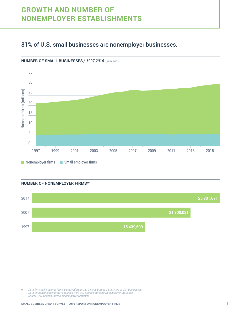# <span id="page-6-0"></span>**GROWTH AND NUMBER OF NONEMPLOYER ESTABLISHMENTS**

### 81% of U.S. small businesses are nonemployer businesses.



**NUMBER OF SMALL BUSINESSES,9** *1997-2016* (in millions)

### **NUMBER OF NONEMPLOYER FIRMS10**



 *Data for small employer firms is sourced from U.S. Census Bureau's Statistics of U.S. Businesses.*

*Data for nonemployer firms is sourced from U.S. Census Bureau's Nonemployer Statistics.*

 *Source: U.S. Census Bureau, Nonemployer Statistics*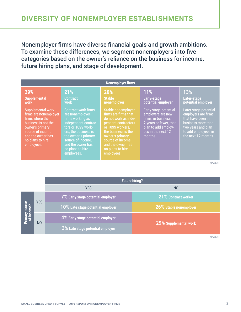<span id="page-7-0"></span>Nonemployer firms have diverse financial goals and growth ambitions. To examine these differences, we segment nonemployers into five categories based on the owner's reliance on the business for income, future hiring plans, and stage of development.

| <b>Nonemployer firms</b>                                                                                                                                                                  |                                                                                                                                                                                                                                            |                                                                                                                                                                                                                                     |                                                                                                                                                    |                                                                                                                                                             |  |  |
|-------------------------------------------------------------------------------------------------------------------------------------------------------------------------------------------|--------------------------------------------------------------------------------------------------------------------------------------------------------------------------------------------------------------------------------------------|-------------------------------------------------------------------------------------------------------------------------------------------------------------------------------------------------------------------------------------|----------------------------------------------------------------------------------------------------------------------------------------------------|-------------------------------------------------------------------------------------------------------------------------------------------------------------|--|--|
| 29%<br><b>Supplemental</b><br>work                                                                                                                                                        | 21%<br><b>Contract</b><br>work                                                                                                                                                                                                             | 26%<br><b>Stable</b><br>nonemployer                                                                                                                                                                                                 | 11%<br>Early-stage<br>potential employer                                                                                                           | <b>13%</b><br>Later-stage<br>potential employer                                                                                                             |  |  |
| <b>Supplemental work</b><br>firms are nonemployer<br>firms where the<br>business is not the<br>owner's primary<br>source of income<br>and the owner has<br>no plans to hire<br>employees. | <b>Contract work firms</b><br>are nonemployer<br>firms working as<br>independent contrac-<br>tors or 1099 work-<br>ers, the business is<br>the owner's primary<br>source of income,<br>and the owner has<br>no plans to hire<br>employees. | Stable nonemployer<br>firms are firms that<br>do not work as inde-<br>pendent contractors<br>or 1099 workers.<br>the business is the<br>owner's primary<br>source of income,<br>and the owner has<br>no plans to hire<br>employees. | Early stage potential<br>employers are new<br>firms, in business<br>2 years or fewer, that<br>plan to add employ-<br>ees in the next 12<br>months. | Later stage potential<br>employers are firms<br>that have been in<br>business more than<br>two years and plan<br>to add employees in<br>the next 12 months. |  |  |

N=3,631

|                              |                | <b>Future hiring?</b>                       |                            |  |  |  |
|------------------------------|----------------|---------------------------------------------|----------------------------|--|--|--|
|                              |                | <b>YES</b>                                  | N <sub>0</sub>             |  |  |  |
| Primary source<br>of income? | <b>YES</b>     | 7% Early stage potential employer           | <b>21% Contract worker</b> |  |  |  |
|                              |                | 10% Late stage potential employer           | 26% Stable nonemployer     |  |  |  |
|                              | N <sub>O</sub> | 4% Early stage potential employer           | 29% Supplemental work      |  |  |  |
|                              |                | $\vert$ $3\%$ Late stage potential employer |                            |  |  |  |

N=3,631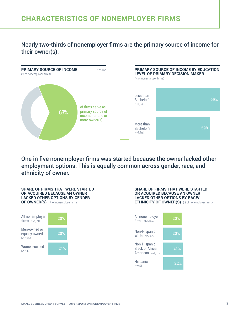# <span id="page-8-0"></span>**CHARACTERISTICS OF NONEMPLOYER FIRMS**

Nearly two-thirds of nonemployer firms are the primary source of income for their owner(s).



One in five nonemployer firms was started because the owner lacked other employment options. This is equally common across gender, race, and ethnicity of owner.

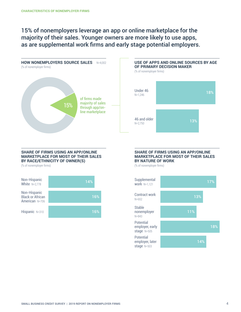15% of nonemployers leverage an app or online marketplace for the majority of their sales. Younger owners are more likely to use apps, as are supplemental work firms and early stage potential employers.



### **USE OF APPS AND ONLINE SOURCES BY AGE OF PRIMARY DECISION MAKER**



### **SHARE OF FIRMS USING AN APP/ONLINE MARKETPLACE FOR MOST OF THEIR SALES BY RACE/ETHNICITY OF OWNER(S)**

(% of nonemployer firms)



#### **SHARE OF FIRMS USING AN APP/ONLINE MARKETPLACE FOR MOST OF THEIR SALES BY NATURE OF WORK**

(% of nonemployer firms)

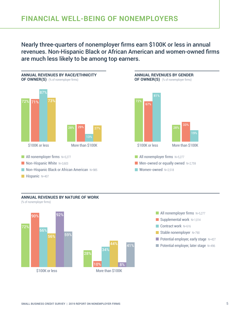<span id="page-10-0"></span>Nearly three-quarters of nonemployer firms earn \$100K or less in annual revenues. Non-Hispanic Black or African American and women-owned firms are much less likely to be among top earners.



### **ANNUAL REVENUES BY NATURE OF WORK**

(% of nonemployer firms)





- $\blacksquare$  All nonemployer firms  $N=5,277$ Supplemental work  $N=1.014$ Contract work N=616 Stable nonemployer N=790  $\blacksquare$  Potential employer, early stage N=427
- **Potential employer, later stage N=496**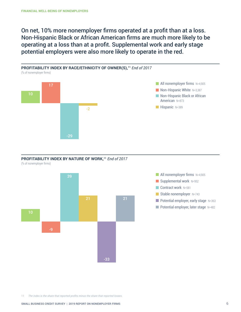On net, 10% more nonemployer firms operated at a profit than at a loss. Non-Hispanic Black or African American firms are much more likely to be operating at a loss than at a profit. Supplemental work and early stage potential employers were also more likely to operate in the red.



PROFITABILITY INDEX BY NATURE OF WORK,<sup>11</sup> *End of 2017* 





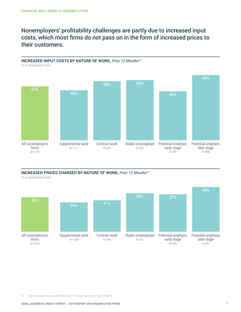### Nonemployers' profitability challenges are partly due to increased input costs, which most firms do not pass on in the form of increased prices to their customers.



### **INCREASED PRICES CHARGED BY NATURE OF WORK,** *Prior 12 Months*<sup>12</sup>

(% of nonemployer firms)



12 *Approximately the second half of 2017 through the second half of 2018.*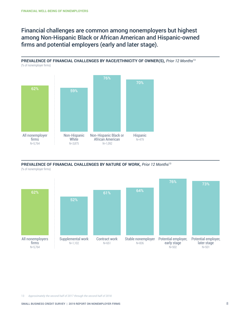Financial challenges are common among nonemployers but highest among Non-Hispanic Black or African American and Hispanic-owned firms and potential employers (early and later stage).

**PREVALENCE OF FINANCIAL CHALLENGES BY RACE/ETHNICITY OF OWNER(S),** *Prior 12 Months*<sup>13</sup> (% of nonemployer firms)



**PREVALENCE OF FINANCIAL CHALLENGES BY NATURE OF WORK,** *Prior 12 Months*<sup>13</sup>





13 *Approximately the second half of 2017 through the second half of 2018.*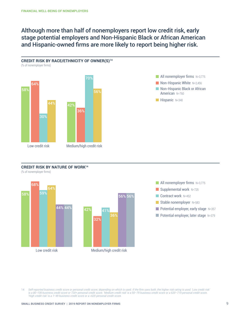### Although more than half of nonemployers report low credit risk, early stage potential employers and Non-Hispanic Black or African American and Hispanic-owned firms are more likely to report being higher risk.



### **CREDIT RISK BY NATURE OF WORK14**

(% of nonemployer firms)





14 Self-reported business credit score or personal credit score, depending on which is used. If the firm uses both, the higher risk rating is used. 'Low credit risk' is a 80–100 business credit score or 720+ personal credit score. 'Medium credit risk' is a 50–79 business credit score or a 620–719 personal credit score. *'High credit risk' is a 1–49 business credit score or a <620 personal credit score.*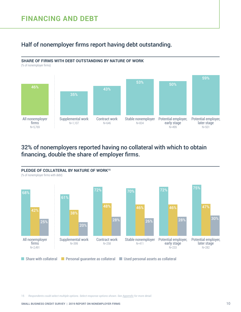# <span id="page-15-0"></span>**FINANCING AND DEBT**

### Half of nonemployer firms report having debt outstanding.



(% of nonemployer firms)



### 32% of nonemployers reported having no collateral with which to obtain financing, double the share of employer firms.



15 *Respondents could select multiple options. Select response options shown. See [Appendix](https://www.fedsmallbusiness.org/medialibrary/fedsmallbusiness/files/2019/sbcs-nonemployer-firms-appendix.xlsx) for more detail.*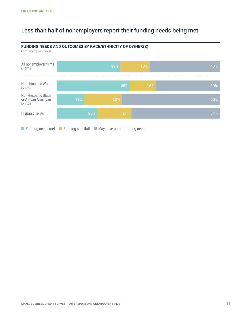# Less than half of nonemployers report their funding needs being met.



**FUNDING NEEDS AND OUTCOMES BY RACE/ETHNICITY OF OWNER(S)**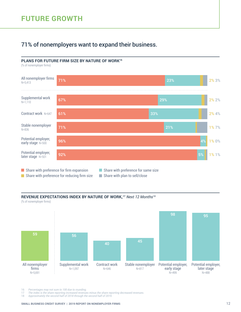### <span id="page-17-0"></span>71% of nonemployers want to expand their business.

### **PLANS FOR FUTURE FIRM SIZE BY NATURE OF WORK16**

(% of nonemployer firms)



Share with preference for reducing firm size  $\Box$  Share with plan to sell/close

### **REVENUE EXPECTATIONS INDEX BY NATURE OF WORK,17** *Next 12 Months*<sup>18</sup>

(% of nonemployer firms)



16 *Percentages may not sum to 100 due to rounding.*

17 *The index is the share reporting increased revenues minus the share reporting decreased revenues.*

18 *Approximately the second half of 2018 through the second half of 2019.*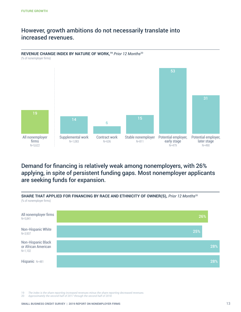### However, growth ambitions do not necessarily translate into increased revenues.



### Demand for financing is relatively weak among nonemployers, with 26% applying, in spite of persistent funding gaps. Most nonemployer applicants are seeking funds for expansion.



**SHARE THAT APPLIED FOR FINANCING BY RACE AND ETHNICITY OF OWNER(S),** *Prior 12 Months*<sup>20</sup>

19 *The index is the share reporting increased revenues minus the share reporting decreased revenues.*

20 *Approximately the second half of 2017 through the second half of 2018.*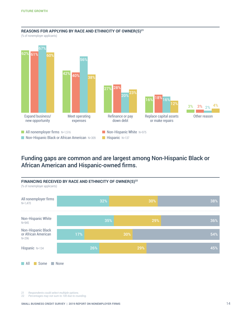

### REASONS FOR APPLYING BY RACE AND ETHNICITY OF OWNER(S)<sup>21</sup>

(% of nonemployer applicants)

### Funding gaps are common and are largest among Non-Hispanic Black or African American and Hispanic-owned firms.



21 *Respondents could select multiple options.*

Percentages may not sum to 100 due to rounding.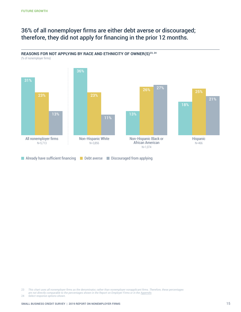### 36% of all nonemployer firms are either debt averse or discouraged; therefore, they did not apply for financing in the prior 12 months.



(% of nonemployer firms)



23 This chart uses all nonemployer firms as the denominator, rather than nonemployer nonapplicant firms. Therefore, these percentages

*are not directly comparable to the percentages shown in the Report on Employer Firms or in the [Appendix](https://www.fedsmallbusiness.org/medialibrary/fedsmallbusiness/files/2019/sbcs-nonemployer-firms-appendix.xlsx).*

24 *Select response options shown.*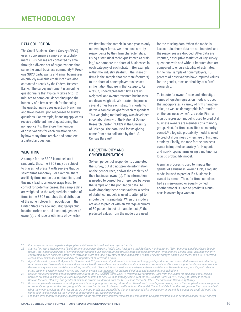### <span id="page-21-0"></span>DATA COLLECTION

The Small Business Credit Survey (SBCS) uses a convenience sample of establishments. Businesses are contacted by email through a diverse set of organizations that serve the small business community.<sup>25</sup> Previous SBCS participants and small businesses on publicly available email lists<sup>26</sup> are also contacted directly by the Federal Reserve Banks. The survey instrument is an online questionnaire that typically takes 6 to 12 minutes to complete, depending upon the intensity of a firm's search for financing. The questionnaire uses question branching and flows based upon responses to survey questions. For example, financing applicants receive a different line of questioning than nonapplicants. Therefore, the number of observations for each question varies by how many firms receive and complete a particular question.

#### WEIGHTING

A sample for the SBCS is not selected randomly; thus, the SBCS may be subject to biases not present with surveys that do select firms randomly. For example, there are likely firms not on our contact lists, and this may lead to a noncoverage bias. To control for potential biases, the sample data are weighted so the weighted distribution of firms in the SBCS matches the distribution of the nonemployer firm population in the United States by age, industry, geographic location (urban or rural location), gender of owner(s), and race or ethnicity of owner(s).

We first limit the sample in each year to only nonemployer firms. We then post-stratify respondents by their firm characteristics. Using a statistical technique known as "raking," we compare the share of businesses in each category of each stratum (for example, within the industry stratum,<sup>27</sup> the share of firms in the sample that are manufacturers) to the share of nonemployer businesses in the nation that are in that category. As a result, underrepresented firms are up weighted, and overrepresented businesses are down weighted. We iterate this process several times for each stratum in order to derive a sample weight for each respondent. This weighting methodology was developed in collaboration with the National Opinion Research Center (NORC) at the University of Chicago. The data used for weighting come from data collected by the U.S. Census Bureau.28

### RACE/ETHNICITY AND GENDER IMPUTATION

Sixteen percent of respondents completed the survey, but did not provide information on the gender, race, and/or the ethnicity of their business' owner(s). This information is needed to correct for differences between the sample and the population data. To avoid dropping these observations, a series of statistical models is used to attempt to impute the missing data. When the models are able to predict with an average accuracy of 80 percent in out-of-sample tests,<sup>29</sup> the predicted values from the models are used

for the missing data. When the model is less certain, those data are not imputed, and the responses are dropped. After data are imputed, descriptive statistics of key survey questions with and without imputed data are compared to ensure stability of estimates. In the final sample of nonemployers, 10 percent of observations have imputed values for the gender, race, or ethnicity of a firm's ownership.

To impute for owners' race and ethnicity, a series of logistic regression models is used that incorporates a variety of firm characteristics, as well as demographic information on the business owner's zip code. First, a logistic regression model is used to predict if business owners are members of a minority group. Next, for firms classified as minorityowned,30 a logistic probability model is used to predict if business owners are of Hispanic ethnicity. Finally, the race for the business owner is imputed separately for Hispanic and non-Hispanic firms using a multinomial logistic probability model.

A similar process is used to impute the gender of a business' owner. First, a logistic model is used to predict if a business is owned by a man. Then, for firms not classified as men-owned or equally owned, another model is used to predict if a business is owned by a woman.

```
25 For more information on partnerships, please visit www.fedsmallbusiness.org/partnership.
```
<sup>26</sup> *System for Award Management (SAM) Entity Management Extracts Public Data Package; Small Business Administration (SBA) Dynamic Small Business Search*  (DSBS); state-maintained lists of certified disadvantaged business enterprises (DBEs); state and local government Procurement Vendor Lists, including minority and women-owned business enterprises (MWBEs); state and local government maintained lists of small or disadvantaged small businesses; and a list of veteran*owned small businesses maintained by the Department of Veterans Affairs.*

<sup>27</sup> Age strata are 0-2 years, 3-4 years, 5-12 years, and 13+ years. Industry strata are non-manufacturing goods production and associated services, manufacturing, retail, leisure and hospitality, finance and insurance, healthcare and education, professional services and real estate, and business support and consumer services. Race/ethnicity strata are non-Hispanic white, non-Hispanic black or African American, non-Hispanic Asian, non-Hispanic Native American, and Hispanic. Gender

strata are men-owned or equally owned and women-owned. See <u>[Appendix](https://www.fedsmallbusiness.org/medialibrary/fedsmallbusiness/files/2019/sbcs-nonemployer-firms-appendix.xlsx)</u> for industry definitions and urban and rural definitions.<br>28 Data on industry and urban/rural location come from the U.S. Census Bureau's 2016 Nonemploy Services are used to classify a business's zip code as urban or rural. Data on firm age come from the U.S. Census Bureau's 2012 Survey of Business Owners. Data on the race, ethnicity, and gender of business owners are derived from the U.S. Census Bureau's 2017 1-Year American Community Survey.

<sup>29</sup> Out-of-sample tests are used to develop thresholds for imputing the missing information. To test each model's performance, half of the sample of non-missing data is randomly assigned as the test group, while the other half is used to develop coefficients for the model. The actual data from the test group is then compared with what the model predicts for the test group. On average, prediction probabilities that are associated with an accuracy of around 80 percent are used, although this *varies slightly depending on the number of observations that are being imputed.*

<sup>30</sup> For some firms that were originally missing data on the race/ethnicity of their ownership, this information was gathered from public databases or past SBCS surveys.